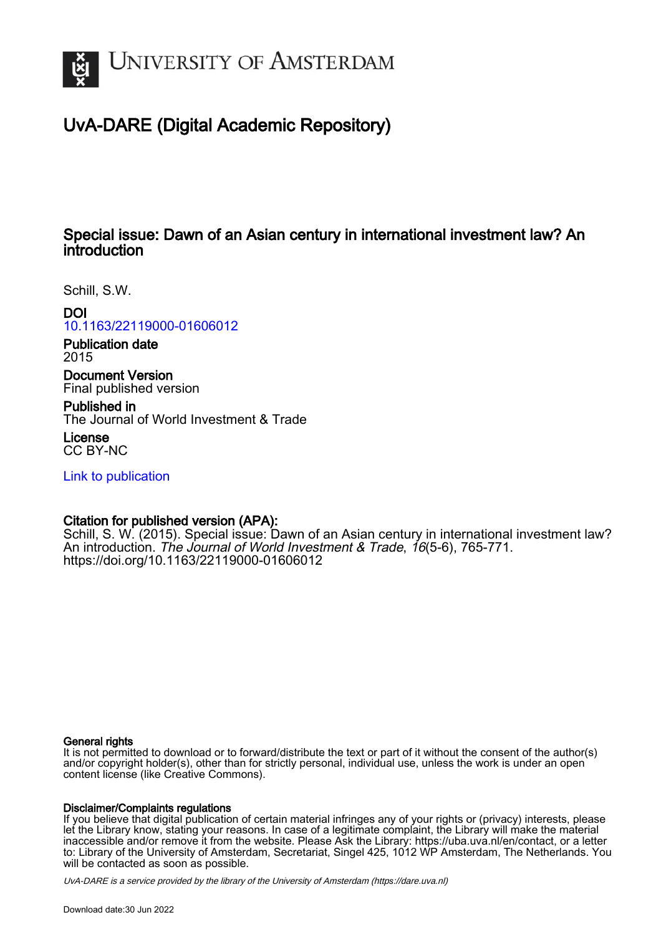

# UvA-DARE (Digital Academic Repository)

## Special issue: Dawn of an Asian century in international investment law? An introduction

Schill, S.W.

### DOI

[10.1163/22119000-01606012](https://doi.org/10.1163/22119000-01606012)

Publication date 2015

Document Version Final published version

Published in The Journal of World Investment & Trade

License CC BY-NC

[Link to publication](https://dare.uva.nl/personal/pure/en/publications/special-issue-dawn-of-an-asian-century-in-international-investment-law-an-introduction(9c117580-a907-44a4-8e8e-9ebbb81f6b87).html)

### Citation for published version (APA):

Schill, S. W. (2015). Special issue: Dawn of an Asian century in international investment law? An introduction. The Journal of World Investment & Trade, 16(5-6), 765-771. <https://doi.org/10.1163/22119000-01606012>

#### General rights

It is not permitted to download or to forward/distribute the text or part of it without the consent of the author(s) and/or copyright holder(s), other than for strictly personal, individual use, unless the work is under an open content license (like Creative Commons).

#### Disclaimer/Complaints regulations

If you believe that digital publication of certain material infringes any of your rights or (privacy) interests, please let the Library know, stating your reasons. In case of a legitimate complaint, the Library will make the material inaccessible and/or remove it from the website. Please Ask the Library: https://uba.uva.nl/en/contact, or a letter to: Library of the University of Amsterdam, Secretariat, Singel 425, 1012 WP Amsterdam, The Netherlands. You will be contacted as soon as possible.

UvA-DARE is a service provided by the library of the University of Amsterdam (http*s*://dare.uva.nl)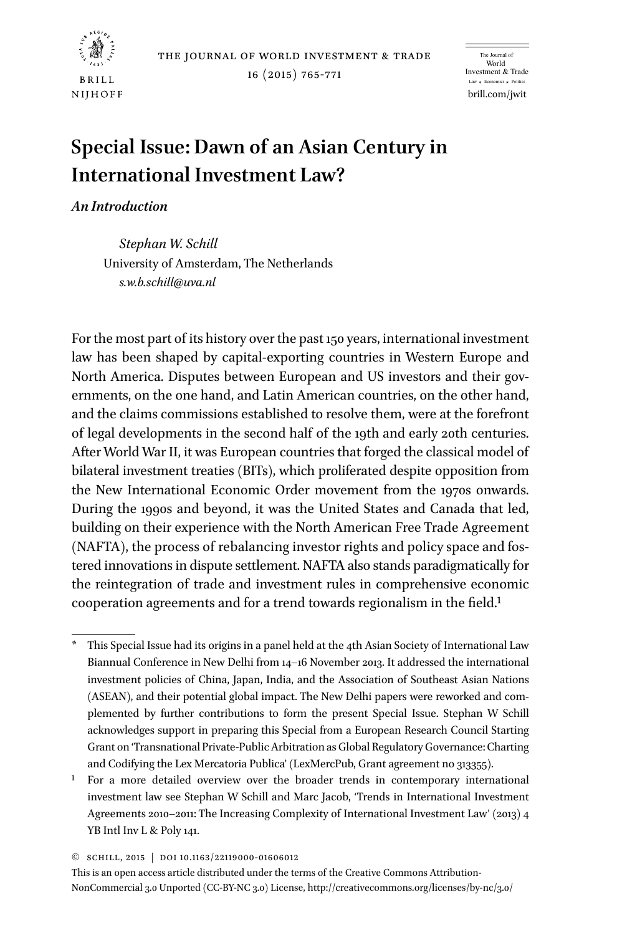

16 (2015) 765-771

brill.com/jwit The Journal of World Investment & Trade  $mics$   $\rightarrow$  Po

## **Special Issue: Dawn of an Asian Century in International Investment Law?**

*An Introduction*

*Stephan W. Schill* University of Amsterdam, The Netherlands *s.w.b.schill@uva.nl*

For the most part of its history over the past 150 years, international investment law has been shaped by capital-exporting countries in Western Europe and North America. Disputes between European and US investors and their governments, on the one hand, and Latin American countries, on the other hand, and the claims commissions established to resolve them, were at the forefront of legal developments in the second half of the 19th and early 20th centuries. After World War II, it was European countries that forged the classical model of bilateral investment treaties (BITs), which proliferated despite opposition from the New International Economic Order movement from the 1970s onwards. During the 1990s and beyond, it was the United States and Canada that led, building on their experience with the North American Free Trade Agreement (NAFTA), the process of rebalancing investor rights and policy space and fostered innovations in dispute settlement. NAFTA also stands paradigmatically for the reintegration of trade and investment rules in comprehensive economic cooperation agreements and for a trend towards regionalism in the field.1

This Special Issue had its origins in a panel held at the 4th Asian Society of International Law Biannual Conference in New Delhi from 14–16 November 2013. It addressed the international investment policies of China, Japan, India, and the Association of Southeast Asian Nations (ASEAN), and their potential global impact. The New Delhi papers were reworked and complemented by further contributions to form the present Special Issue. Stephan W Schill acknowledges support in preparing this Special from a European Research Council Starting Grant on 'Transnational Private-Public Arbitration as Global Regulatory Governance: Charting and Codifying the Lex Mercatoria Publica' (LexMercPub, Grant agreement no 313355).

<sup>&</sup>lt;sup>1</sup> For a more detailed overview over the broader trends in contemporary international investment law see Stephan W Schill and Marc Jacob, 'Trends in International Investment Agreements 2010–2011: The Increasing Complexity of International Investment Law' (2013) 4 YB Intl Inv L & Poly 141.

 $©$  SCHILL, 2015 | DOI 10.1163/22119000-01606012

This is an open access article distributed under the terms of the Creative Commons Attribution-NonCommercial 3.0 Unported (CC-BY-NC 3.0) License,<http://creativecommons.org/licenses/by-nc/3.0/>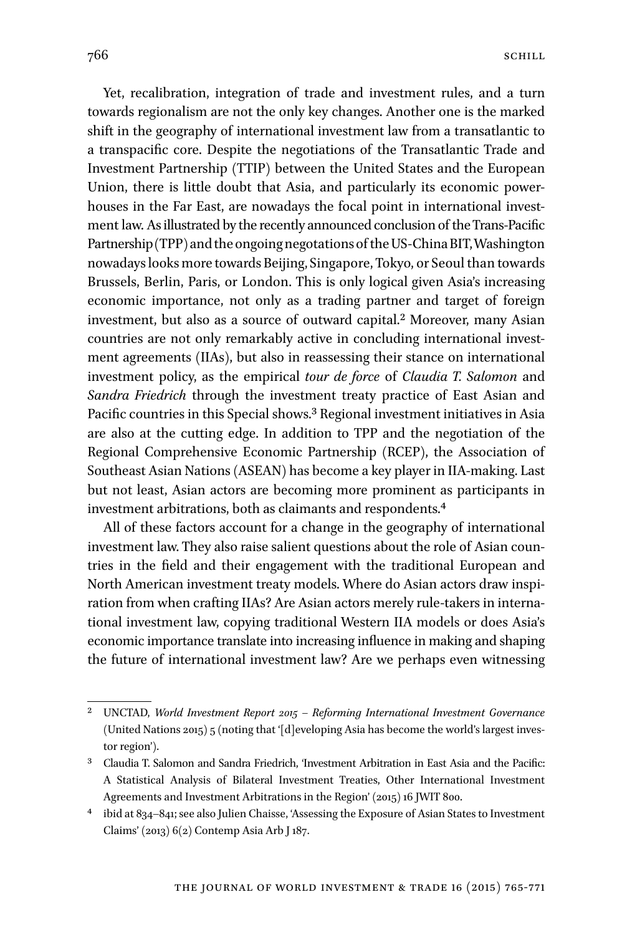Yet, recalibration, integration of trade and investment rules, and a turn towards regionalism are not the only key changes. Another one is the marked shift in the geography of international investment law from a transatlantic to a transpacific core. Despite the negotiations of the Transatlantic Trade and Investment Partnership (TTIP) between the United States and the European Union, there is little doubt that Asia, and particularly its economic powerhouses in the Far East, are nowadays the focal point in international investment law. As illustrated by the recently announced conclusion of the Trans-Pacific Partnership (TPP) and the ongoing negotations of the US-China BIT, Washington nowadays looks more towards Beijing, Singapore, Tokyo, or Seoul than towards Brussels, Berlin, Paris, or London. This is only logical given Asia's increasing economic importance, not only as a trading partner and target of foreign investment, but also as a source of outward capital.2 Moreover, many Asian countries are not only remarkably active in concluding international investment agreements (IIAs), but also in reassessing their stance on international investment policy, as the empirical *tour de force* of *Claudia T. Salomon* and *Sandra Friedrich* through the investment treaty practice of East Asian and Pacific countries in this Special shows.<sup>3</sup> Regional investment initiatives in Asia are also at the cutting edge. In addition to TPP and the negotiation of the Regional Comprehensive Economic Partnership (RCEP), the Association of Southeast Asian Nations (ASEAN) has become a key player in IIA-making. Last but not least, Asian actors are becoming more prominent as participants in investment arbitrations, both as claimants and respondents.4

All of these factors account for a change in the geography of international investment law. They also raise salient questions about the role of Asian countries in the field and their engagement with the traditional European and North American investment treaty models. Where do Asian actors draw inspiration from when crafting IIAs? Are Asian actors merely rule-takers in international investment law, copying traditional Western IIA models or does Asia's economic importance translate into increasing influence in making and shaping the future of international investment law? Are we perhaps even witnessing

<sup>2</sup> UNCTAD, *World Investment Report 2015 – Reforming International Investment Governance* (United Nations 2015) 5 (noting that '[d]eveloping Asia has become the world's largest investor region').

<sup>3</sup> Claudia T. Salomon and Sandra Friedrich, 'Investment Arbitration in East Asia and the Pacific: A Statistical Analysis of Bilateral Investment Treaties, Other International Investment Agreements and Investment Arbitrations in the Region' (2015) 16 JWIT 800.

<sup>4</sup> ibid at 834–841; see also Julien Chaisse, 'Assessing the Exposure of Asian States to Investment Claims' (2013) 6(2) Contemp Asia Arb J 187.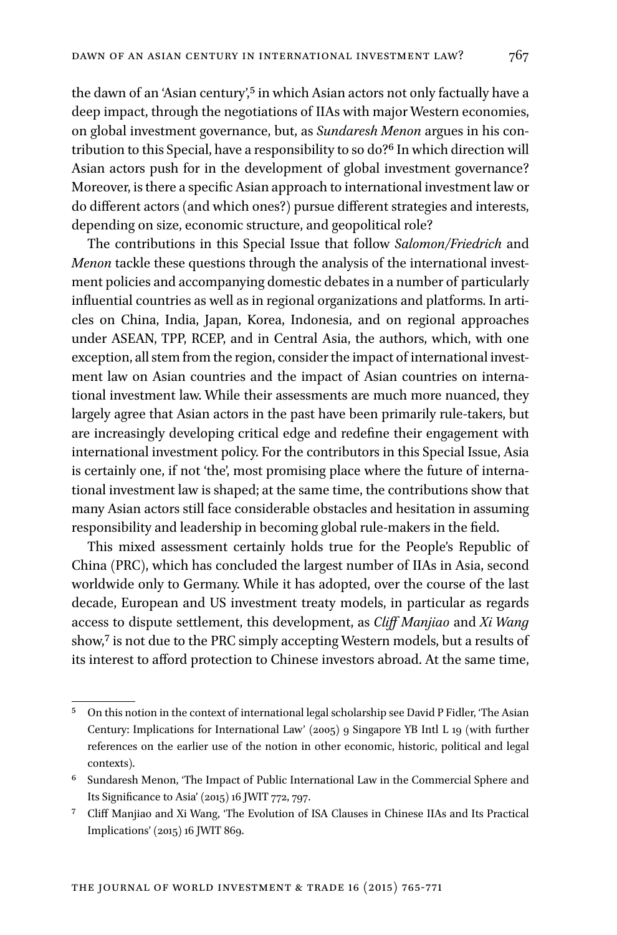the dawn of an 'Asian century'<sup>5</sup> in which Asian actors not only factually have a deep impact, through the negotiations of IIAs with major Western economies, on global investment governance, but, as *Sundaresh Menon* argues in his contribution to this Special, have a responsibility to so do?6 In which direction will Asian actors push for in the development of global investment governance? Moreover, is there a specific Asian approach to international investment law or do different actors (and which ones?) pursue different strategies and interests, depending on size, economic structure, and geopolitical role?

The contributions in this Special Issue that follow *Salomon/Friedrich* and *Menon* tackle these questions through the analysis of the international investment policies and accompanying domestic debates in a number of particularly influential countries as well as in regional organizations and platforms. In articles on China, India, Japan, Korea, Indonesia, and on regional approaches under ASEAN, TPP, RCEP, and in Central Asia, the authors, which, with one exception, all stem from the region, consider the impact of international investment law on Asian countries and the impact of Asian countries on international investment law. While their assessments are much more nuanced, they largely agree that Asian actors in the past have been primarily rule-takers, but are increasingly developing critical edge and redefine their engagement with international investment policy. For the contributors in this Special Issue, Asia is certainly one, if not 'the', most promising place where the future of international investment law is shaped; at the same time, the contributions show that many Asian actors still face considerable obstacles and hesitation in assuming responsibility and leadership in becoming global rule-makers in the field.

This mixed assessment certainly holds true for the People's Republic of China (PRC), which has concluded the largest number of IIAs in Asia, second worldwide only to Germany. While it has adopted, over the course of the last decade, European and US investment treaty models, in particular as regards access to dispute settlement, this development, as *Cliff Manjiao* and *Xi Wang* show,7 is not due to the PRC simply accepting Western models, but a results of its interest to afford protection to Chinese investors abroad. At the same time,

<sup>5</sup> On this notion in the context of international legal scholarship see David P Fidler, 'The Asian Century: Implications for International Law' (2005) 9 Singapore YB Intl L 19 (with further references on the earlier use of the notion in other economic, historic, political and legal contexts).

<sup>6</sup> Sundaresh Menon, 'The Impact of Public International Law in the Commercial Sphere and Its Significance to Asia' (2015) 16 JWIT 772, 797.

<sup>7</sup> Cliff Manjiao and Xi Wang, 'The Evolution of ISA Clauses in Chinese IIAs and Its Practical Implications' (2015) 16 JWIT 869.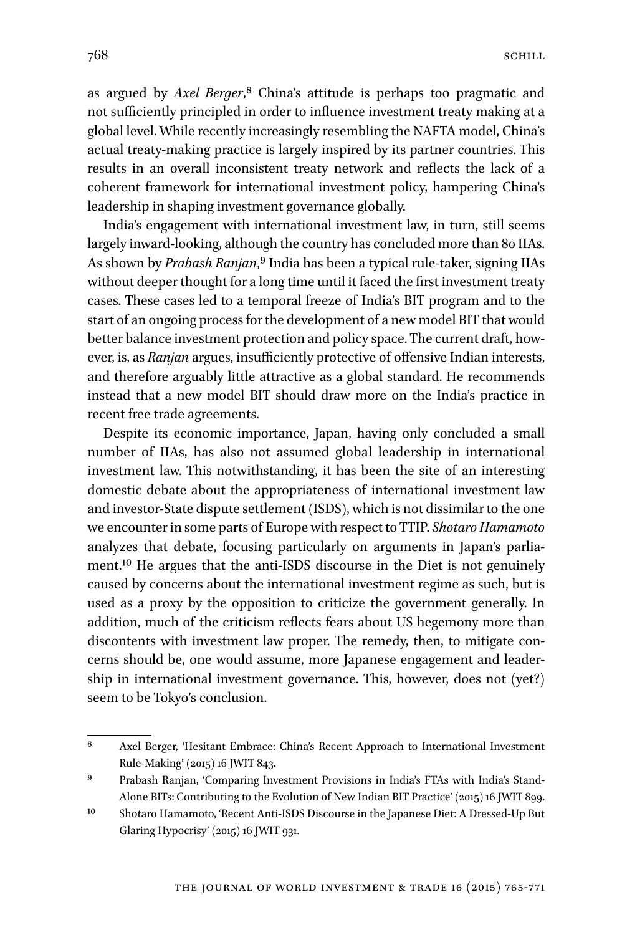as argued by *Axel Berger*,8 China's attitude is perhaps too pragmatic and not sufficiently principled in order to influence investment treaty making at a global level. While recently increasingly resembling the NAFTA model, China's actual treaty-making practice is largely inspired by its partner countries. This results in an overall inconsistent treaty network and reflects the lack of a coherent framework for international investment policy, hampering China's leadership in shaping investment governance globally.

India's engagement with international investment law, in turn, still seems largely inward-looking, although the country has concluded more than 80 IIAs. As shown by *Prabash Ranjan*,9 India has been a typical rule-taker, signing IIAs without deeper thought for a long time until it faced the first investment treaty cases. These cases led to a temporal freeze of India's BIT program and to the start of an ongoing process for the development of a new model BIT that would better balance investment protection and policy space. The current draft, however, is, as *Ranjan* argues, insufficiently protective of offensive Indian interests, and therefore arguably little attractive as a global standard. He recommends instead that a new model BIT should draw more on the India's practice in recent free trade agreements.

Despite its economic importance, Japan, having only concluded a small number of IIAs, has also not assumed global leadership in international investment law. This notwithstanding, it has been the site of an interesting domestic debate about the appropriateness of international investment law and investor-State dispute settlement (ISDS), which is not dissimilar to the one we encounter in some parts of Europe with respect to TTIP. *Shotaro Hamamoto* analyzes that debate, focusing particularly on arguments in Japan's parliament.10 He argues that the anti-ISDS discourse in the Diet is not genuinely caused by concerns about the international investment regime as such, but is used as a proxy by the opposition to criticize the government generally. In addition, much of the criticism reflects fears about US hegemony more than discontents with investment law proper. The remedy, then, to mitigate concerns should be, one would assume, more Japanese engagement and leadership in international investment governance. This, however, does not (yet?) seem to be Tokyo's conclusion.

<sup>8</sup> Axel Berger, 'Hesitant Embrace: China's Recent Approach to International Investment Rule-Making' (2015) 16 JWIT 843.

<sup>9</sup> Prabash Ranjan, 'Comparing Investment Provisions in India's FTAs with India's Stand-Alone BITs: Contributing to the Evolution of New Indian BIT Practice' (2015) 16 JWIT 899.

<sup>10</sup> Shotaro Hamamoto, 'Recent Anti-ISDS Discourse in the Japanese Diet: A Dressed-Up But Glaring Hypocrisy' (2015) 16 JWIT 931.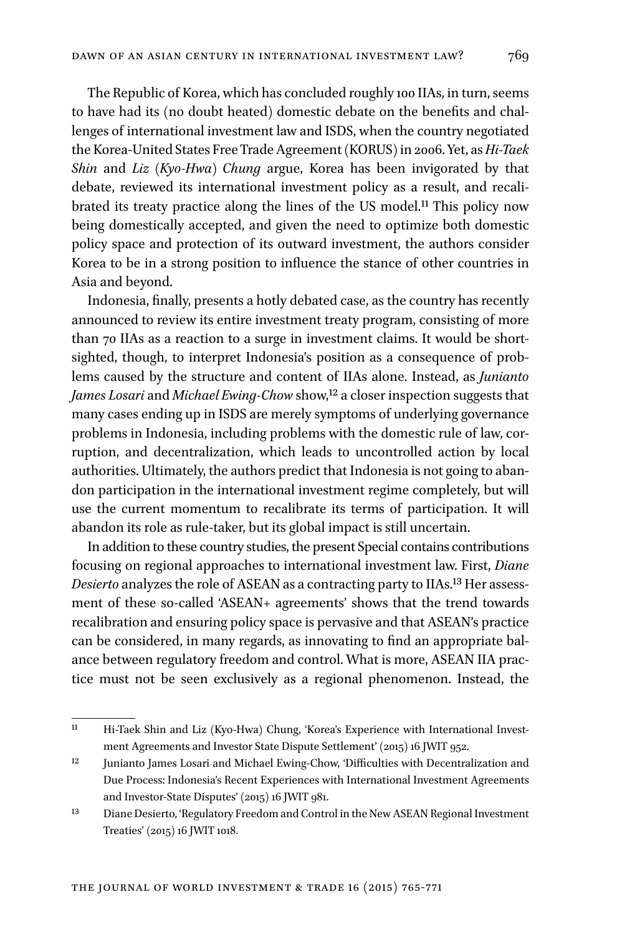The Republic of Korea, which has concluded roughly 100 IIAs, in turn, seems to have had its (no doubt heated) domestic debate on the benefits and challenges of international investment law and ISDS, when the country negotiated the Korea-United States Free Trade Agreement (KORUS) in 2006. Yet, as *Hi-Taek Shin* and *Liz (Kyo-Hwa) Chung* argue, Korea has been invigorated by that debate, reviewed its international investment policy as a result, and recalibrated its treaty practice along the lines of the US model.11 This policy now being domestically accepted, and given the need to optimize both domestic policy space and protection of its outward investment, the authors consider Korea to be in a strong position to influence the stance of other countries in Asia and beyond.

Indonesia, finally, presents a hotly debated case, as the country has recently announced to review its entire investment treaty program, consisting of more than 70 IIAs as a reaction to a surge in investment claims. It would be shortsighted, though, to interpret Indonesia's position as a consequence of problems caused by the structure and content of IIAs alone. Instead, as *Junianto James Losari* and *Michael Ewing-Chow* show,<sup>12</sup> a closer inspection suggests that many cases ending up in ISDS are merely symptoms of underlying governance problems in Indonesia, including problems with the domestic rule of law, corruption, and decentralization, which leads to uncontrolled action by local authorities. Ultimately, the authors predict that Indonesia is not going to abandon participation in the international investment regime completely, but will use the current momentum to recalibrate its terms of participation. It will abandon its role as rule-taker, but its global impact is still uncertain.

In addition to these country studies, the present Special contains contributions focusing on regional approaches to international investment law. First, *Diane Desierto* analyzes the role of ASEAN as a contracting party to IIAs.13 Her assessment of these so-called 'ASEAN+ agreements' shows that the trend towards recalibration and ensuring policy space is pervasive and that ASEAN's practice can be considered, in many regards, as innovating to find an appropriate balance between regulatory freedom and control. What is more, ASEAN IIA practice must not be seen exclusively as a regional phenomenon. Instead, the

<sup>11</sup> Hi-Taek Shin and Liz (Kyo-Hwa) Chung, 'Korea's Experience with International Investment Agreements and Investor State Dispute Settlement' (2015) 16 JWIT 952.

<sup>&</sup>lt;sup>12</sup> Junianto James Losari and Michael Ewing-Chow, 'Difficulties with Decentralization and Due Process: Indonesia's Recent Experiences with International Investment Agreements and Investor-State Disputes' (2015) 16 JWIT 981.

<sup>&</sup>lt;sup>13</sup> Diane Desierto, 'Regulatory Freedom and Control in the New ASEAN Regional Investment Treaties' (2015) 16 JWIT 1018.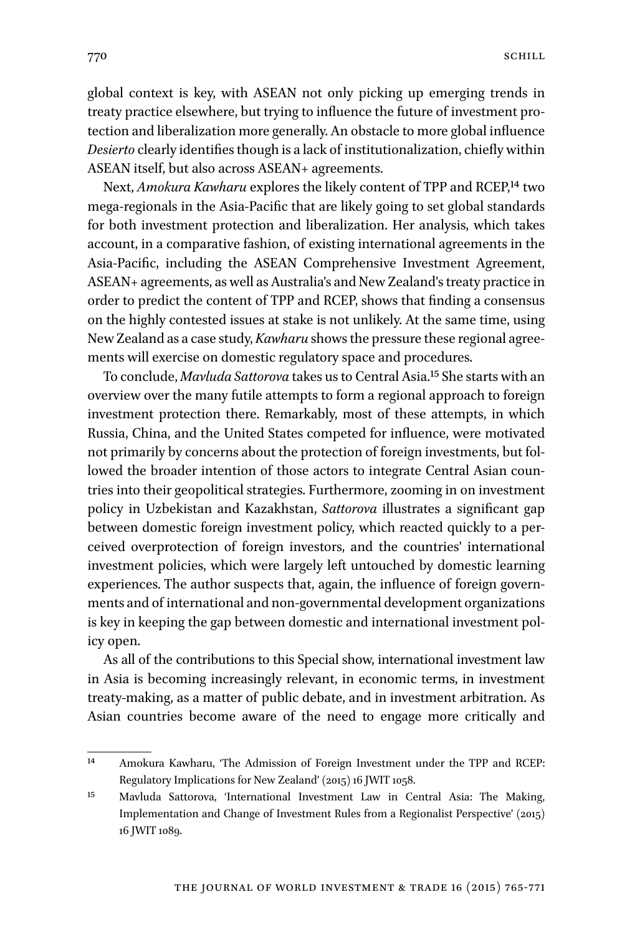global context is key, with ASEAN not only picking up emerging trends in treaty practice elsewhere, but trying to influence the future of investment protection and liberalization more generally. An obstacle to more global influence *Desierto* clearly identifies though is a lack of institutionalization, chiefly within ASEAN itself, but also across ASEAN+ agreements.

Next, *Amokura Kawharu* explores the likely content of TPP and RCEP,<sup>14</sup> two mega-regionals in the Asia-Pacific that are likely going to set global standards for both investment protection and liberalization. Her analysis, which takes account, in a comparative fashion, of existing international agreements in the Asia-Pacific, including the ASEAN Comprehensive Investment Agreement, ASEAN+ agreements, as well as Australia's and New Zealand's treaty practice in order to predict the content of TPP and RCEP, shows that finding a consensus on the highly contested issues at stake is not unlikely. At the same time, using New Zealand as a case study, *Kawharu* shows the pressure these regional agreements will exercise on domestic regulatory space and procedures.

To conclude, *Mavluda Sattorova* takes us to Central Asia.15 She starts with an overview over the many futile attempts to form a regional approach to foreign investment protection there. Remarkably, most of these attempts, in which Russia, China, and the United States competed for influence, were motivated not primarily by concerns about the protection of foreign investments, but followed the broader intention of those actors to integrate Central Asian countries into their geopolitical strategies. Furthermore, zooming in on investment policy in Uzbekistan and Kazakhstan, *Sattorova* illustrates a significant gap between domestic foreign investment policy, which reacted quickly to a perceived overprotection of foreign investors, and the countries' international investment policies, which were largely left untouched by domestic learning experiences. The author suspects that, again, the influence of foreign governments and of international and non-governmental development organizations is key in keeping the gap between domestic and international investment policy open.

As all of the contributions to this Special show, international investment law in Asia is becoming increasingly relevant, in economic terms, in investment treaty-making, as a matter of public debate, and in investment arbitration. As Asian countries become aware of the need to engage more critically and

<sup>14</sup> Amokura Kawharu, 'The Admission of Foreign Investment under the TPP and RCEP: Regulatory Implications for New Zealand' (2015) 16 JWIT 1058.

<sup>15</sup> Mavluda Sattorova, 'International Investment Law in Central Asia: The Making, Implementation and Change of Investment Rules from a Regionalist Perspective' (2015) 16 JWIT 1089.